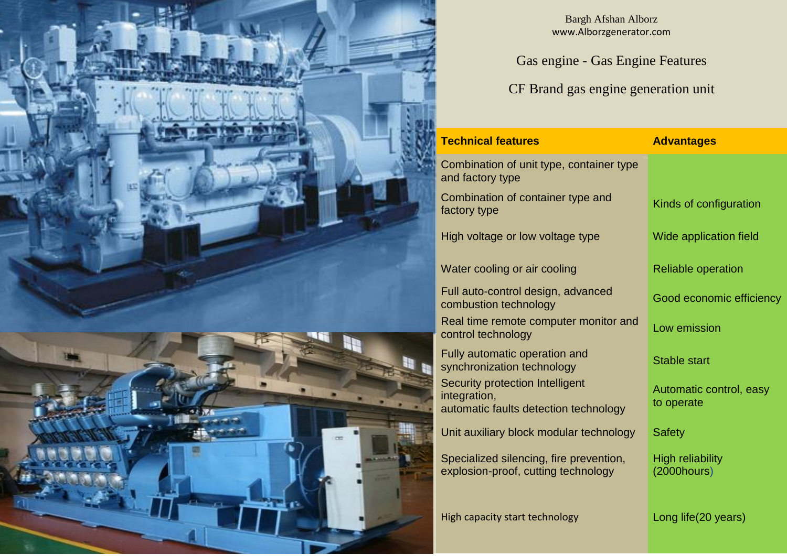



Bargh Afshan Alborz www.Alborzgenerator.com

Gas engine - Gas Engine Features

CF Brand gas engine generation unit

| <b>Technical features</b>                                                                | <b>Advantages</b>                            |  |  |
|------------------------------------------------------------------------------------------|----------------------------------------------|--|--|
| Combination of unit type, container type<br>and factory type                             |                                              |  |  |
| Combination of container type and<br>factory type                                        | Kinds of configuration                       |  |  |
| High voltage or low voltage type                                                         | Wide application field                       |  |  |
| Water cooling or air cooling                                                             | <b>Reliable operation</b>                    |  |  |
| Full auto-control design, advanced<br>combustion technology                              | Good economic efficiency                     |  |  |
| Real time remote computer monitor and<br>control technology                              | Low emission                                 |  |  |
| Fully automatic operation and<br>synchronization technology                              | <b>Stable start</b>                          |  |  |
| Security protection Intelligent<br>integration,<br>automatic faults detection technology | Automatic control, easy<br>to operate        |  |  |
| Unit auxiliary block modular technology                                                  | <b>Safety</b>                                |  |  |
| Specialized silencing, fire prevention,<br>explosion-proof, cutting technology           | <b>High reliability</b><br>$(2000$ hours $)$ |  |  |
| High capacity start technology                                                           | Long life(20 years)                          |  |  |